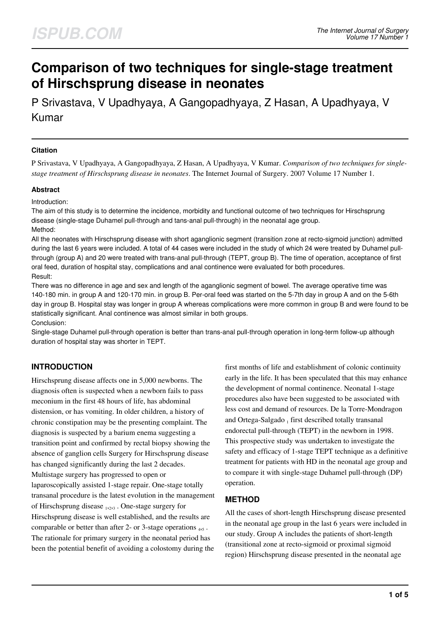# **Comparison of two techniques for single-stage treatment of Hirschsprung disease in neonates**

P Srivastava, V Upadhyaya, A Gangopadhyaya, Z Hasan, A Upadhyaya, V Kumar

#### **Citation**

P Srivastava, V Upadhyaya, A Gangopadhyaya, Z Hasan, A Upadhyaya, V Kumar. *Comparison of two techniques for singlestage treatment of Hirschsprung disease in neonates*. The Internet Journal of Surgery. 2007 Volume 17 Number 1.

#### **Abstract**

Introduction:

The aim of this study is to determine the incidence, morbidity and functional outcome of two techniques for Hirschsprung disease (single-stage Duhamel pull-through and tans-anal pull-through) in the neonatal age group. Method:

All the neonates with Hirschsprung disease with short aganglionic segment (transition zone at recto-sigmoid junction) admitted during the last 6 years were included. A total of 44 cases were included in the study of which 24 were treated by Duhamel pullthrough (group A) and 20 were treated with trans-anal pull-through (TEPT, group B). The time of operation, acceptance of first oral feed, duration of hospital stay, complications and anal continence were evaluated for both procedures. Result:

There was no difference in age and sex and length of the aganglionic segment of bowel. The average operative time was 140-180 min. in group A and 120-170 min. in group B. Per-oral feed was started on the 5-7th day in group A and on the 5-6th day in group B. Hospital stay was longer in group A whereas complications were more common in group B and were found to be statistically significant. Anal continence was almost similar in both groups. Conclusion:

Single-stage Duhamel pull-through operation is better than trans-anal pull-through operation in long-term follow-up although duration of hospital stay was shorter in TEPT.

# **INTRODUCTION**

Hirschsprung disease affects one in 5,000 newborns. The diagnosis often is suspected when a newborn fails to pass meconium in the first 48 hours of life, has abdominal distension, or has vomiting. In older children, a history of chronic constipation may be the presenting complaint. The diagnosis is suspected by a barium enema suggesting a transition point and confirmed by rectal biopsy showing the absence of ganglion cells Surgery for Hirschsprung disease has changed significantly during the last 2 decades. Multistage surgery has progressed to open or laparoscopically assisted 1-stage repair. One-stage totally transanal procedure is the latest evolution in the management of Hirschsprung disease 1,2,3. One-stage surgery for Hirschsprung disease is well established, and the results are comparable or better than after 2- or 3-stage operations  $_{4,5}$ . The rationale for primary surgery in the neonatal period has been the potential benefit of avoiding a colostomy during the first months of life and establishment of colonic continuity early in the life. It has been speculated that this may enhance the development of normal continence. Neonatal 1-stage procedures also have been suggested to be associated with less cost and demand of resources. De la Torre-Mondragon and Ortega-Salgado 1 first described totally transanal endorectal pull-through (TEPT) in the newborn in 1998. This prospective study was undertaken to investigate the safety and efficacy of 1-stage TEPT technique as a definitive treatment for patients with HD in the neonatal age group and to compare it with single-stage Duhamel pull-through (DP) operation.

## **METHOD**

All the cases of short-length Hirschsprung disease presented in the neonatal age group in the last 6 years were included in our study. Group A includes the patients of short-length (transitional zone at recto-sigmoid or proximal sigmoid region) Hirschsprung disease presented in the neonatal age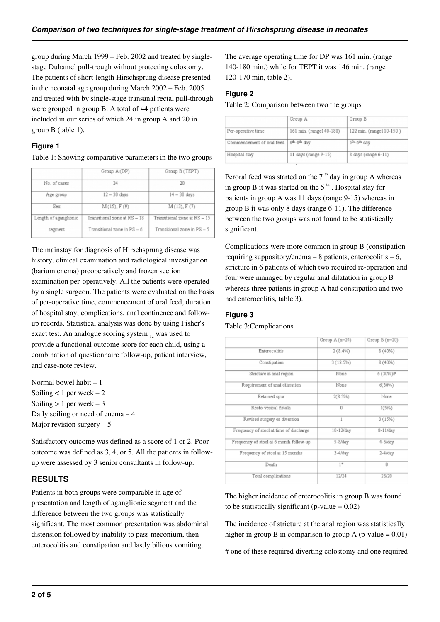group during March 1999 – Feb. 2002 and treated by singlestage Duhamel pull-trough without protecting colostomy. The patients of short-length Hirschsprung disease presented in the neonatal age group during March 2002 – Feb. 2005 and treated with by single-stage transanal rectal pull-through were grouped in group B. A total of 44 patients were included in our series of which 24 in group A and 20 in group B (table 1).

#### **Figure 1**

#### Table 1: Showing comparative parameters in the two groups

|                       | Group A (DP)                 | Group B (TEPT)               |
|-----------------------|------------------------------|------------------------------|
| No. of cases          | 24                           | 20                           |
| Age group             | $12 - 30$ days               | $14 - 30$ days               |
| Sex                   | M(15), F(9)                  | M(13), F(7)                  |
| Length of aganglionic | Transitional zone at RS - 18 | Transitional zone at RS - 15 |
| segment               | Transitional zone in PS - 6  | Transitional zone in PS - 5  |

The mainstay for diagnosis of Hirschsprung disease was history, clinical examination and radiological investigation (barium enema) preoperatively and frozen section examination per-operatively. All the patients were operated by a single surgeon. The patients were evaluated on the basis of per-operative time, commencement of oral feed, duration of hospital stay, complications, anal continence and followup records. Statistical analysis was done by using Fisher's exact test. An analogue scoring system  $_{12}$  was used to provide a functional outcome score for each child, using a combination of questionnaire follow-up, patient interview, and case-note review.

Normal bowel habit – 1 Soiling  $< 1$  per week  $-2$ Soiling  $> 1$  per week  $-3$ Daily soiling or need of enema – 4 Major revision surgery  $-5$ 

Satisfactory outcome was defined as a score of 1 or 2. Poor outcome was defined as 3, 4, or 5. All the patients in followup were assessed by 3 senior consultants in follow-up.

# **RESULTS**

Patients in both groups were comparable in age of presentation and length of aganglionic segment and the difference between the two groups was statistically significant. The most common presentation was abdominal distension followed by inability to pass meconium, then enterocolitis and constipation and lastly bilious vomiting.

The average operating time for DP was 161 min. (range 140-180 min.) while for TEPT it was 146 min. (range 120-170 min, table 2).

## **Figure 2**

Table 2: Comparison between two the groups

|                           | Group A                 | Group B                 |
|---------------------------|-------------------------|-------------------------|
| Per-operative time        | 161 min. (range140-180) | 122 min. (range110-150) |
| Commencement of oral feed | 6th.8th day             | 5th.6th day             |
| Hospital stay             | 11 days (range 9-15)    | 8 days (range 6-11)     |

Peroral feed was started on the  $7<sup>th</sup>$  day in group A whereas in group B it was started on the  $5<sup>th</sup>$ . Hospital stay for patients in group A was 11 days (range 9-15) whereas in group B it was only 8 days (range 6-11). The difference between the two groups was not found to be statistically significant.

Complications were more common in group B (constipation requiring suppository/enema – 8 patients, enterocolitis – 6, stricture in 6 patients of which two required re-operation and four were managed by regular anal dilatation in group B whereas three patients in group A had constipation and two had enterocolitis, table 3).

## **Figure 3**

Table 3:Complications

|                                         | Group A (n=24) | Group B (n=20) |
|-----------------------------------------|----------------|----------------|
| Enterocolitis                           | $2(8.4\%)$     | $8(40\%)$      |
| Constipation                            | 3 (12.5%)      | $8(40\%)$      |
| Stricture at anal region                | None           | 6 (30%)#       |
| Requirement of anal dilatation          | None           | $6(30\%)$      |
| Retained spur                           | 2(8.3%)        | None           |
| Recto-vesical fistula                   | Ü              | 1(5%)          |
| Revised surgery or diversion            | 1              | 3(15%)         |
| Frequency of stool at time of discharge | 10-12/day      | $8-11$ /day    |
| Frequency of stool at 6 month follow-up | 5-8/day        | $4-6$ /day     |
| Frequency of stool at 15 months         | $3-4$ /day     | $2-4$ /day     |
| Death                                   | $1*$           | $\overline{0}$ |
| Total complications                     | 12/24          | 28/20          |

The higher incidence of enterocolitis in group B was found to be statistically significant (p-value  $= 0.02$ )

The incidence of stricture at the anal region was statistically higher in group B in comparison to group A (p-value  $= 0.01$ )

# one of these required diverting colostomy and one required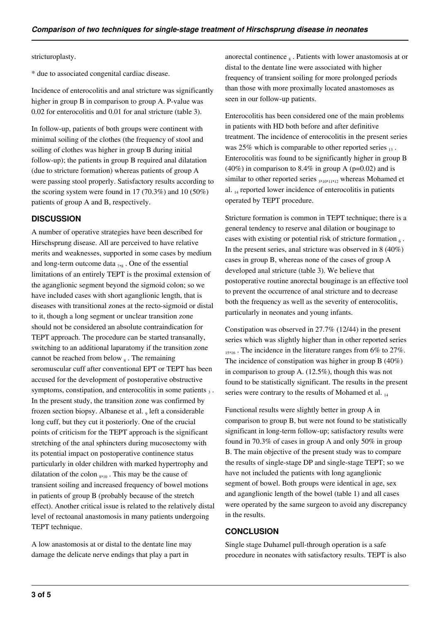stricturoplasty.

\* due to associated congenital cardiac disease.

Incidence of enterocolitis and anal stricture was significantly higher in group B in comparison to group A. P-value was 0.02 for enterocolitis and 0.01 for anal stricture (table 3).

In follow-up, patients of both groups were continent with minimal soiling of the clothes (the frequency of stool and soiling of clothes was higher in group B during initial follow-up); the patients in group B required anal dilatation (due to stricture formation) whereas patients of group A were passing stool properly. Satisfactory results according to the scoring system were found in 17 (70.3%) and 10 (50%) patients of group A and B, respectively.

#### **DISCUSSION**

A number of operative strategies have been described for Hirschsprung disease. All are perceived to have relative merits and weaknesses, supported in some cases by medium and long-term outcome data  $_{7,8}$ . One of the essential limitations of an entirely TEPT is the proximal extension of the aganglionic segment beyond the sigmoid colon; so we have included cases with short aganglionic length, that is diseases with transitional zones at the recto-sigmoid or distal to it, though a long segment or unclear transition zone should not be considered an absolute contraindication for TEPT approach. The procedure can be started transanally, switching to an additional laparatomy if the transition zone cannot be reached from below  $_8$ . The remaining seromuscular cuff after conventional EPT or TEPT has been accused for the development of postoperative obstructive symptoms, constipation, and enterocolitis in some patients  $_3$ . In the present study, the transition zone was confirmed by frozen section biopsy. Albanese et al. 9 left a considerable long cuff, but they cut it posteriorly. One of the crucial points of criticism for the TEPT approach is the significant stretching of the anal sphincters during mucosectomy with its potential impact on postoperative continence status particularly in older children with marked hypertrophy and dilatation of the colon  $_{8,10}$ . This may be the cause of transient soiling and increased frequency of bowel motions in patients of group B (probably because of the stretch effect). Another critical issue is related to the relatively distal level of rectoanal anastomosis in many patients undergoing TEPT technique.

A low anastomosis at or distal to the dentate line may damage the delicate nerve endings that play a part in

anorectal continence  $_8$ . Patients with lower anastomosis at or distal to the dentate line were associated with higher frequency of transient soiling for more prolonged periods than those with more proximally located anastomoses as seen in our follow-up patients.

Enterocolitis has been considered one of the main problems in patients with HD both before and after definitive treatment. The incidence of enterocolitis in the present series was 25% which is comparable to other reported series  $_{13}$ . Enterocolitis was found to be significantly higher in group B (40%) in comparison to 8.4% in group A ( $p=0.02$ ) and is similar to other reported series  $_{3\cdot10\cdot11\cdot12}$  whereas Mohamed et al. 14 reported lower incidence of enterocolitis in patients operated by TEPT procedure.

Stricture formation is common in TEPT technique; there is a general tendency to reserve anal dilation or bouginage to cases with existing or potential risk of stricture formation  $_6$ . In the present series, anal stricture was observed in 8 (40%) cases in group B, whereas none of the cases of group A developed anal stricture (table 3). We believe that postoperative routine anorectal bouginage is an effective tool to prevent the occurrence of anal stricture and to decrease both the frequency as well as the severity of enterocolitis, particularly in neonates and young infants.

Constipation was observed in 27.7% (12/44) in the present series which was slightly higher than in other reported series  $15,16$ . The incidence in the literature ranges from 6% to 27%. The incidence of constipation was higher in group B (40%) in comparison to group A. (12.5%), though this was not found to be statistically significant. The results in the present series were contrary to the results of Mohamed et al.  $_{14}$ 

Functional results were slightly better in group A in comparison to group B, but were not found to be statistically significant in long-term follow-up; satisfactory results were found in 70.3% of cases in group A and only 50% in group B. The main objective of the present study was to compare the results of single-stage DP and single-stage TEPT; so we have not included the patients with long aganglionic segment of bowel. Both groups were identical in age, sex and aganglionic length of the bowel (table 1) and all cases were operated by the same surgeon to avoid any discrepancy in the results.

#### **CONCLUSION**

Single stage Duhamel pull-through operation is a safe procedure in neonates with satisfactory results. TEPT is also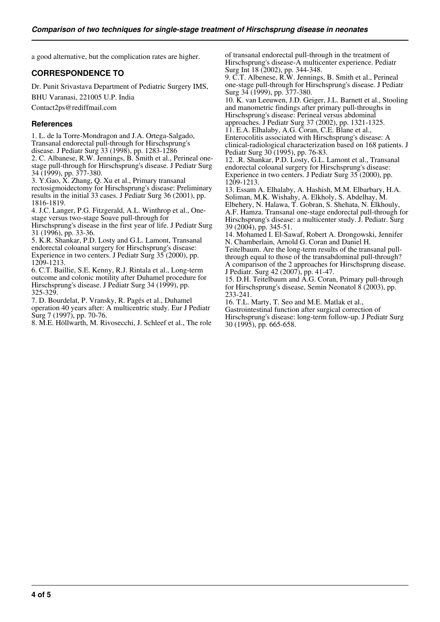a good alternative, but the complication rates are higher.

#### **CORRESPONDENCE TO**

Dr. Punit Srivastava Department of Pediatric Surgery IMS,

BHU Varanasi, 221005 U.P. India

Contact2ps@rediffmail.com

#### **References**

1. L. de la Torre-Mondragon and J.A. Ortega-Salgado, Transanal endorectal pull-through for Hirschsprung's disease. J Pediatr Surg 33 (1998), pp. 1283-1286 2. C. Albanese, R.W. Jennings, B. Smith et al., Perineal onestage pull-through for Hirschsprung's disease. J Pediatr Surg 34 (1999), pp. 377-380. 3. Y.Gao, X. Zhang, Q. Xu et al., Primary transanal

rectosigmoidectomy for Hirschsprung's disease: Preliminary results in the initial 33 cases. J Pediatr Surg 36 (2001), pp. 1816-1819.

4. J.C. Langer, P.G. Fitzgerald, A.L. Winthrop et al., Onestage versus two-stage Soave pull-through for Hirschsprung's disease in the first year of life. J Pediatr Surg

31 (1996), pp. 33-36.

5. K.R. Shankar, P.D. Losty and G.L. Lamont, Transanal endorectal coloanal surgery for Hirschsprung's disease: Experience in two centers. J Pediatr Surg 35 (2000), pp. 1209-1213.

6. C.T. Baillie, S.E. Kenny, R.J. Rintala et al., Long-term outcome and colonic motility after Duhamel procedure for Hirschsprung's disease. J Pediatr Surg 34 (1999), pp. 325-329.

7. D. Bourdelat, P. Vransky, R. Pagés et al., Duhamel operation 40 years after: A multicentric study. Eur J Pediatr Surg 7 (1997), pp. 70-76.

8. M.E. Höllwarth, M. Rivosecchi, J. Schleef et al., The role

of transanal endorectal pull-through in the treatment of Hirschsprung's disease-A multicenter experience. Pediatr Surg Int 18 (2002), pp. 344-348.

9. C.T. Albenese, R.W. Jennings, B. Smith et al., Perineal one-stage pull-through for Hirschsprung's disease. J Pediatr Surg 34 (1999), pp. 377-380.

10. K. van Leeuwen, J.D. Geiger, J.L. Barnett et al., Stooling and manometric findings after primary pull-throughs in Hirschsprung's disease: Perineal versus abdominal approaches. J Pediatr Surg 37 (2002), pp. 1321-1325.

11. E.A. Elhalaby, A.G. Coran, C.E. Blane et al.,

Enterocolitis associated with Hirschsprung's disease: A clinical-radiological characterization based on 168 patients. J Pediatr Surg 30 (1995), pp. 76-83.

12. .R. Shankar, P.D. Losty, G.L. Lamont et al., Transanal endorectal coloanal surgery for Hirschsprung's disease: Experience in two centers. J Pediatr Surg 35 (2000), pp. 1209-1213.

13. Essam A. Elhalaby, A. Hashish, M.M. Elbarbary, H.A. Soliman, M.K. Wishahy, A. Elkholy, S. Abdelhay, M. Elbehery, N. Halawa, T. Gobran, S. Shehata, N. Elkhouly,

A.F. Hamza. Transanal one-stage endorectal pull-through for Hirschsprung's disease: a multicenter study. J. Pediatr. Surg 39 (2004), pp. 345-51.

14. Mohamed I. El-Sawaf, Robert A. Drongowski, Jennifer N. Chamberlain, Arnold G. Coran and Daniel H.

Teitelbaum. Are the long-term results of the transanal pullthrough equal to those of the transabdominal pull-through? A comparison of the 2 approaches for Hirschsprung disease. J Pediatr. Surg 42 (2007), pp. 41-47.

15. D.H. Teitelbaum and A.G. Coran, Primary pull-through for Hirschsprung's disease, Semin Neonatol 8 (2003), pp. 233-241.

16. T.L. Marty, T. Seo and M.E. Matlak et al., Gastrointestinal function after surgical correction of Hirschsprung's disease: long-term follow-up. J Pediatr Surg 30 (1995), pp. 665-658.